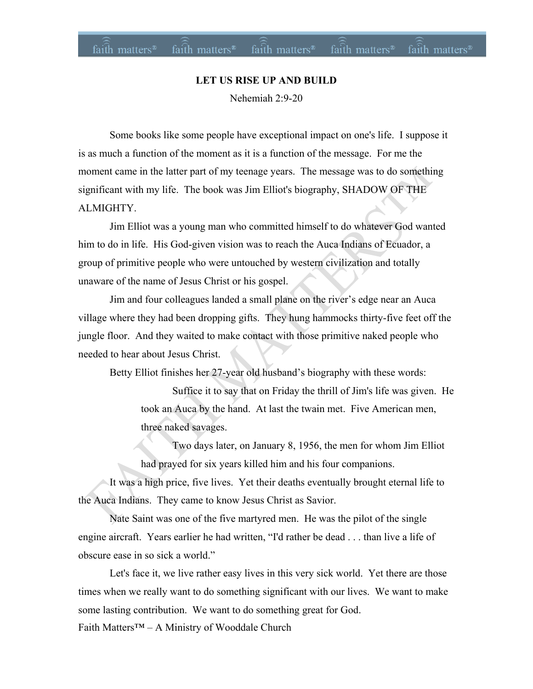## **LET US RISE UP AND BUILD**

faith matters<sup>®</sup>

 $faith$  matters<sup>®</sup> faith matters<sup>®</sup> faith matters<sup>®</sup> faith matters<sup>®</sup>

Nehemiah 2:9-20

Some books like some people have exceptional impact on one's life. I suppose it is as much a function of the moment as it is a function of the message. For me the moment came in the latter part of my teenage years. The message was to do something significant with my life. The book was Jim Elliot's biography, SHADOW OF THE ALMIGHTY.

Jim Elliot was a young man who committed himself to do whatever God wanted him to do in life. His God-given vision was to reach the Auca Indians of Ecuador, a group of primitive people who were untouched by western civilization and totally unaware of the name of Jesus Christ or his gospel.

Jim and four colleagues landed a small plane on the river's edge near an Auca village where they had been dropping gifts. They hung hammocks thirty-five feet off the jungle floor. And they waited to make contact with those primitive naked people who needed to hear about Jesus Christ.

Betty Elliot finishes her 27-year old husband's biography with these words:

Suffice it to say that on Friday the thrill of Jim's life was given. He took an Auca by the hand. At last the twain met. Five American men, three naked savages.

Two days later, on January 8, 1956, the men for whom Jim Elliot had prayed for six years killed him and his four companions.

It was a high price, five lives. Yet their deaths eventually brought eternal life to the Auca Indians. They came to know Jesus Christ as Savior.

Nate Saint was one of the five martyred men. He was the pilot of the single engine aircraft. Years earlier he had written, "I'd rather be dead . . . than live a life of obscure ease in so sick a world."

Faith Matters™ – A Ministry of Wooddale Church Let's face it, we live rather easy lives in this very sick world. Yet there are those times when we really want to do something significant with our lives. We want to make some lasting contribution. We want to do something great for God.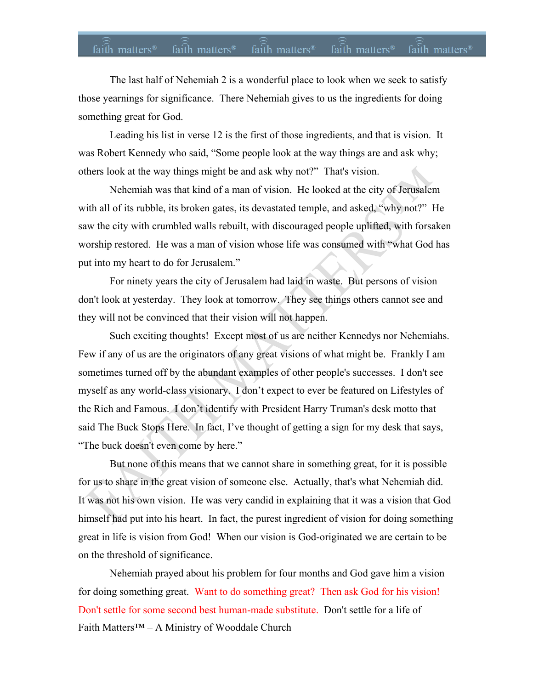The last half of Nehemiah 2 is a wonderful place to look when we seek to satisfy those yearnings for significance. There Nehemiah gives to us the ingredients for doing something great for God.

Leading his list in verse 12 is the first of those ingredients, and that is vision. It was Robert Kennedy who said, "Some people look at the way things are and ask why; others look at the way things might be and ask why not?" That's vision.

Nehemiah was that kind of a man of vision. He looked at the city of Jerusalem with all of its rubble, its broken gates, its devastated temple, and asked, "why not?" He saw the city with crumbled walls rebuilt, with discouraged people uplifted, with forsaken worship restored. He was a man of vision whose life was consumed with "what God has put into my heart to do for Jerusalem."

For ninety years the city of Jerusalem had laid in waste. But persons of vision don't look at yesterday. They look at tomorrow. They see things others cannot see and they will not be convinced that their vision will not happen.

Such exciting thoughts! Except most of us are neither Kennedys nor Nehemiahs. Few if any of us are the originators of any great visions of what might be. Frankly I am sometimes turned off by the abundant examples of other people's successes. I don't see myself as any world-class visionary. I don't expect to ever be featured on Lifestyles of the Rich and Famous. I don't identify with President Harry Truman's desk motto that said The Buck Stops Here. In fact, I've thought of getting a sign for my desk that says, "The buck doesn't even come by here."

But none of this means that we cannot share in something great, for it is possible for us to share in the great vision of someone else. Actually, that's what Nehemiah did. It was not his own vision. He was very candid in explaining that it was a vision that God himself had put into his heart. In fact, the purest ingredient of vision for doing something great in life is vision from God! When our vision is God-originated we are certain to be on the threshold of significance.

Faith Matters™ – A Ministry of Wooddale Church Nehemiah prayed about his problem for four months and God gave him a vision for doing something great. Want to do something great? Then ask God for his vision! Don't settle for some second best human-made substitute. Don't settle for a life of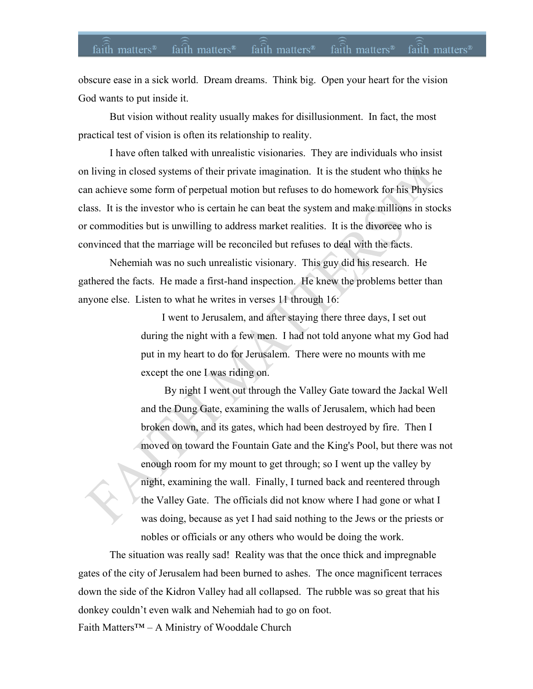obscure ease in a sick world. Dream dreams. Think big. Open your heart for the vision God wants to put inside it.

But vision without reality usually makes for disillusionment. In fact, the most practical test of vision is often its relationship to reality.

I have often talked with unrealistic visionaries. They are individuals who insist on living in closed systems of their private imagination. It is the student who thinks he can achieve some form of perpetual motion but refuses to do homework for his Physics class. It is the investor who is certain he can beat the system and make millions in stocks or commodities but is unwilling to address market realities. It is the divorcee who is convinced that the marriage will be reconciled but refuses to deal with the facts.

Nehemiah was no such unrealistic visionary. This guy did his research. He gathered the facts. He made a first-hand inspection. He knew the problems better than anyone else. Listen to what he writes in verses 11 through 16:

> I went to Jerusalem, and after staying there three days, I set out during the night with a few men. I had not told anyone what my God had put in my heart to do for Jerusalem. There were no mounts with me except the one I was riding on.

 By night I went out through the Valley Gate toward the Jackal Well and the Dung Gate, examining the walls of Jerusalem, which had been broken down, and its gates, which had been destroyed by fire. Then I moved on toward the Fountain Gate and the King's Pool, but there was not enough room for my mount to get through; so I went up the valley by night, examining the wall. Finally, I turned back and reentered through the Valley Gate. The officials did not know where I had gone or what I was doing, because as yet I had said nothing to the Jews or the priests or nobles or officials or any others who would be doing the work.

Faith Matters™ – A Ministry of Wooddale Church The situation was really sad! Reality was that the once thick and impregnable gates of the city of Jerusalem had been burned to ashes. The once magnificent terraces down the side of the Kidron Valley had all collapsed. The rubble was so great that his donkey couldn't even walk and Nehemiah had to go on foot.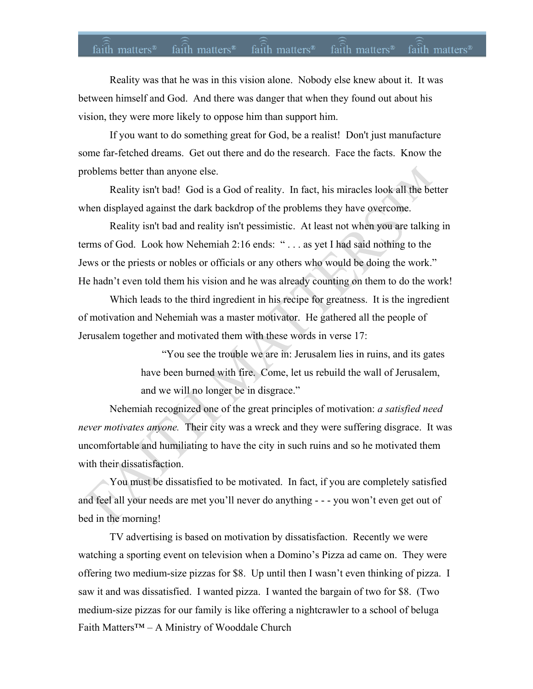## faith matters<sup>®</sup> faith matters<sup>®</sup> faith matters<sup>®</sup> faith matters<sup>®</sup> faith matters<sup>®</sup>

Reality was that he was in this vision alone. Nobody else knew about it. It was between himself and God. And there was danger that when they found out about his vision, they were more likely to oppose him than support him.

If you want to do something great for God, be a realist! Don't just manufacture some far-fetched dreams. Get out there and do the research. Face the facts. Know the problems better than anyone else.

Reality isn't bad! God is a God of reality. In fact, his miracles look all the better when displayed against the dark backdrop of the problems they have overcome.

Reality isn't bad and reality isn't pessimistic. At least not when you are talking in terms of God. Look how Nehemiah 2:16 ends: " . . . as yet I had said nothing to the Jews or the priests or nobles or officials or any others who would be doing the work." He hadn't even told them his vision and he was already counting on them to do the work!

Which leads to the third ingredient in his recipe for greatness. It is the ingredient of motivation and Nehemiah was a master motivator. He gathered all the people of Jerusalem together and motivated them with these words in verse 17:

> "You see the trouble we are in: Jerusalem lies in ruins, and its gates have been burned with fire. Come, let us rebuild the wall of Jerusalem, and we will no longer be in disgrace."

Nehemiah recognized one of the great principles of motivation: *a satisfied need never motivates anyone.* Their city was a wreck and they were suffering disgrace. It was uncomfortable and humiliating to have the city in such ruins and so he motivated them with their dissatisfaction.

You must be dissatisfied to be motivated. In fact, if you are completely satisfied and feel all your needs are met you'll never do anything - - - you won't even get out of bed in the morning!

Faith Matters™ – A Ministry of Wooddale Church TV advertising is based on motivation by dissatisfaction. Recently we were watching a sporting event on television when a Domino's Pizza ad came on. They were offering two medium-size pizzas for \$8. Up until then I wasn't even thinking of pizza. I saw it and was dissatisfied. I wanted pizza. I wanted the bargain of two for \$8. (Two medium-size pizzas for our family is like offering a nightcrawler to a school of beluga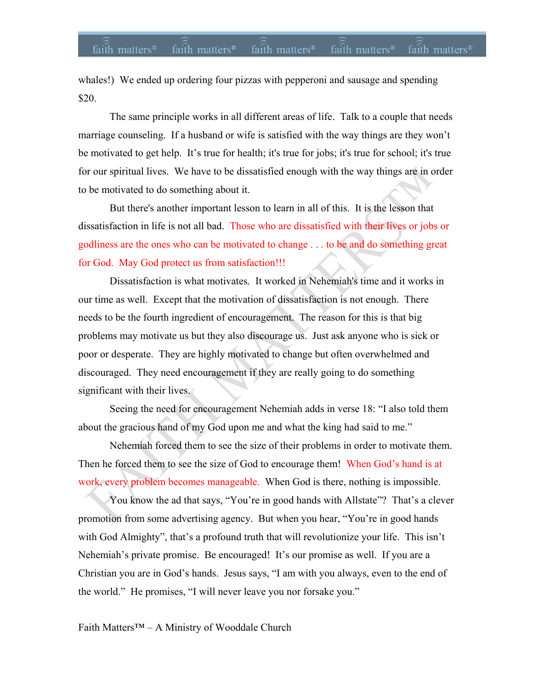whales!) We ended up ordering four pizzas with pepperoni and sausage and spending \$20.

The same principle works in all different areas of life. Talk to a couple that needs marriage counseling. If a husband or wife is satisfied with the way things are they won't be motivated to get help. It's true for health; it's true for jobs; it's true for school; it's true for our spiritual lives. We have to be dissatisfied enough with the way things are in order to be motivated to do something about it.

But there's another important lesson to learn in all of this. It is the lesson that dissatisfaction in life is not all bad. Those who are dissatisfied with their lives or jobs or godliness are the ones who can be motivated to change . . . to be and do something great for God. May God protect us from satisfaction!!!

Dissatisfaction is what motivates. It worked in Nehemiah's time and it works in our time as well. Except that the motivation of dissatisfaction is not enough. There needs to be the fourth ingredient of encouragement. The reason for this is that big problems may motivate us but they also discourage us. Just ask anyone who is sick or poor or desperate. They are highly motivated to change but often overwhelmed and discouraged. They need encouragement if they are really going to do something significant with their lives.

Seeing the need for encouragement Nehemiah adds in verse 18: "I also told them about the gracious hand of my God upon me and what the king had said to me."

Nehemiah forced them to see the size of their problems in order to motivate them. Then he forced them to see the size of God to encourage them! When God's hand is at work, every problem becomes manageable. When God is there, nothing is impossible.

You know the ad that says, "You're in good hands with Allstate"? That's a clever promotion from some advertising agency. But when you hear, "You're in good hands with God Almighty", that's a profound truth that will revolutionize your life. This isn't Nehemiah's private promise. Be encouraged! It's our promise as well. If you are a Christian you are in God's hands. Jesus says, "I am with you always, even to the end of the world." He promises, "I will never leave you nor forsake you."

Faith Matters™ – A Ministry of Wooddale Church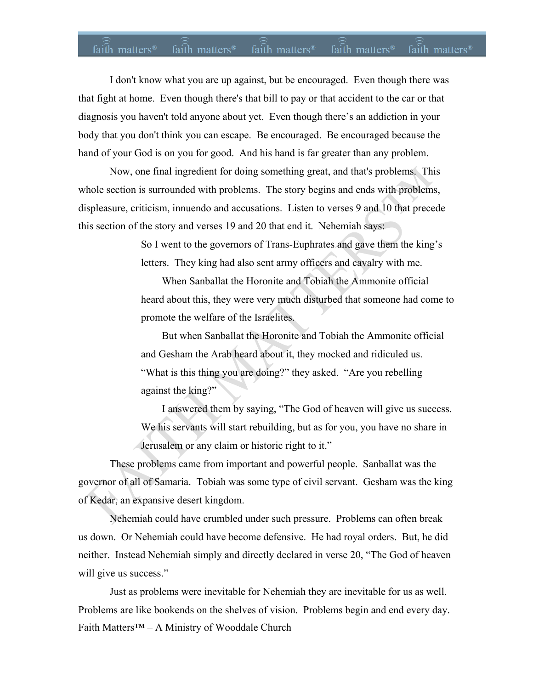## faith matters<sup>®</sup> faith matters<sup>®</sup> faith matters<sup>®</sup> faith matters<sup>®</sup> faith matters<sup>®</sup>

I don't know what you are up against, but be encouraged. Even though there was that fight at home. Even though there's that bill to pay or that accident to the car or that diagnosis you haven't told anyone about yet. Even though there's an addiction in your body that you don't think you can escape. Be encouraged. Be encouraged because the hand of your God is on you for good. And his hand is far greater than any problem.

Now, one final ingredient for doing something great, and that's problems. This whole section is surrounded with problems. The story begins and ends with problems, displeasure, criticism, innuendo and accusations. Listen to verses 9 and 10 that precede this section of the story and verses 19 and 20 that end it. Nehemiah says:

> So I went to the governors of Trans-Euphrates and gave them the king's letters. They king had also sent army officers and cavalry with me.

 When Sanballat the Horonite and Tobiah the Ammonite official heard about this, they were very much disturbed that someone had come to promote the welfare of the Israelites.

 But when Sanballat the Horonite and Tobiah the Ammonite official and Gesham the Arab heard about it, they mocked and ridiculed us. "What is this thing you are doing?" they asked. "Are you rebelling against the king?"

 I answered them by saying, "The God of heaven will give us success. We his servants will start rebuilding, but as for you, you have no share in Jerusalem or any claim or historic right to it."

These problems came from important and powerful people. Sanballat was the governor of all of Samaria. Tobiah was some type of civil servant. Gesham was the king of Kedar, an expansive desert kingdom.

Nehemiah could have crumbled under such pressure. Problems can often break us down. Or Nehemiah could have become defensive. He had royal orders. But, he did neither. Instead Nehemiah simply and directly declared in verse 20, "The God of heaven will give us success."

Faith Matters™ – A Ministry of Wooddale Church Just as problems were inevitable for Nehemiah they are inevitable for us as well. Problems are like bookends on the shelves of vision. Problems begin and end every day.